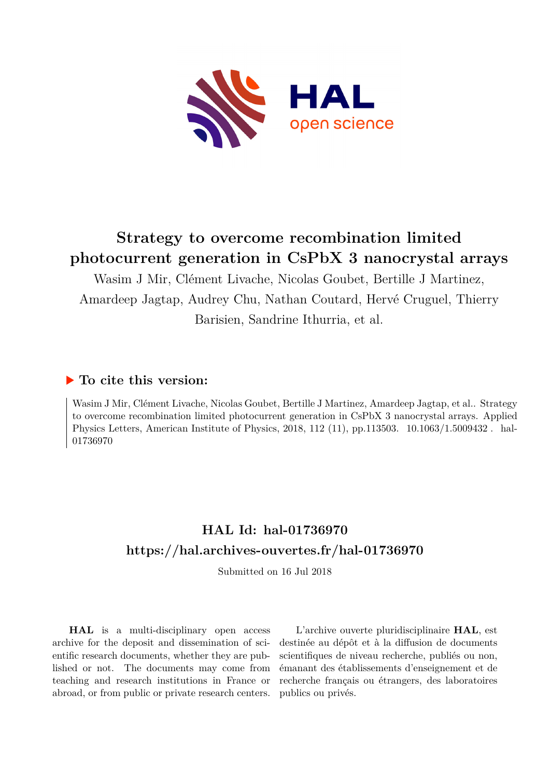

# **Strategy to overcome recombination limited photocurrent generation in CsPbX 3 nanocrystal arrays**

Wasim J Mir, Clément Livache, Nicolas Goubet, Bertille J Martinez, Amardeep Jagtap, Audrey Chu, Nathan Coutard, Hervé Cruguel, Thierry Barisien, Sandrine Ithurria, et al.

### **To cite this version:**

Wasim J Mir, Clément Livache, Nicolas Goubet, Bertille J Martinez, Amardeep Jagtap, et al.. Strategy to overcome recombination limited photocurrent generation in CsPbX 3 nanocrystal arrays. Applied Physics Letters, American Institute of Physics, 2018, 112 (11), pp.113503. 10.1063/1.5009432. hal-01736970ff

## **HAL Id: hal-01736970 <https://hal.archives-ouvertes.fr/hal-01736970>**

Submitted on 16 Jul 2018

**HAL** is a multi-disciplinary open access archive for the deposit and dissemination of scientific research documents, whether they are published or not. The documents may come from teaching and research institutions in France or abroad, or from public or private research centers.

L'archive ouverte pluridisciplinaire **HAL**, est destinée au dépôt et à la diffusion de documents scientifiques de niveau recherche, publiés ou non, émanant des établissements d'enseignement et de recherche français ou étrangers, des laboratoires publics ou privés.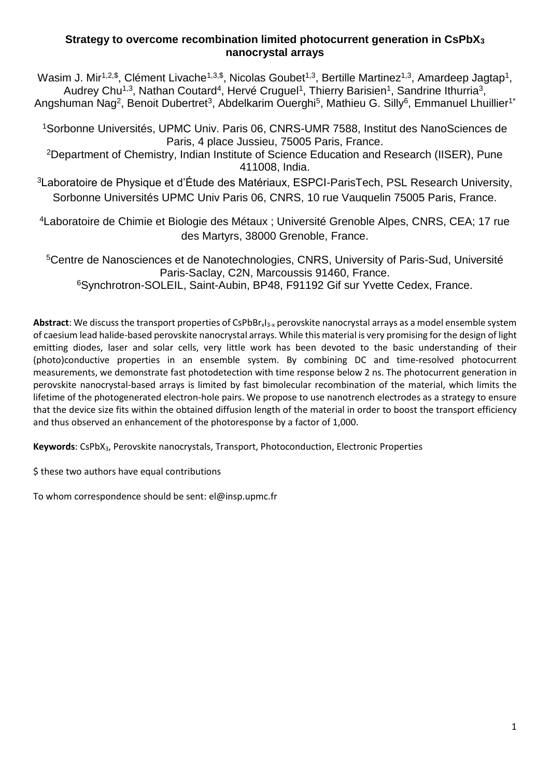#### **Strategy to overcome recombination limited photocurrent generation in CsPbX<sup>3</sup> nanocrystal arrays**

Wasim J. Mir<sup>1,2,\$</sup>, Clément Livache<sup>1,3,\$</sup>, Nicolas Goubet<sup>1,3</sup>, Bertille Martinez<sup>1,3</sup>, Amardeep Jagtap<sup>1</sup>, Audrey Chu<sup>1,3</sup>, Nathan Coutard<sup>4</sup>, Hervé Cruguel<sup>1</sup>, Thierry Barisien<sup>1</sup>, Sandrine Ithurria<sup>3</sup>, Angshuman Nag<sup>2</sup>, Benoit Dubertret<sup>3</sup>, Abdelkarim Ouerghi<sup>5</sup>, Mathieu G. Silly<sup>6</sup>, Emmanuel Lhuillier<sup>1\*</sup>

<sup>1</sup>Sorbonne Universités, UPMC Univ. Paris 06, CNRS-UMR 7588, Institut des NanoSciences de Paris, 4 place Jussieu, 75005 Paris, France.

<sup>2</sup>Department of Chemistry, Indian Institute of Science Education and Research (IISER), Pune 411008, India.

<sup>3</sup>Laboratoire de Physique et d'Étude des Matériaux, ESPCI-ParisTech, PSL Research University, Sorbonne Universités UPMC Univ Paris 06, CNRS, 10 rue Vauquelin 75005 Paris, France.

<sup>4</sup>Laboratoire de Chimie et Biologie des Métaux ; Université Grenoble Alpes, CNRS, CEA; 17 rue des Martyrs, 38000 Grenoble, France.

<sup>5</sup>Centre de Nanosciences et de Nanotechnologies, CNRS, University of Paris-Sud, Université Paris-Saclay, C2N, Marcoussis 91460, France.

<sup>6</sup>Synchrotron-SOLEIL, Saint-Aubin, BP48, F91192 Gif sur Yvette Cedex, France.

Abstract: We discuss the transport properties of CsPbBr<sub>x</sub>I<sub>3-x</sub> perovskite nanocrystal arrays as a model ensemble system of caesium lead halide-based perovskite nanocrystal arrays. While this material is very promising for the design of light emitting diodes, laser and solar cells, very little work has been devoted to the basic understanding of their (photo)conductive properties in an ensemble system. By combining DC and time-resolved photocurrent measurements, we demonstrate fast photodetection with time response below 2 ns. The photocurrent generation in perovskite nanocrystal-based arrays is limited by fast bimolecular recombination of the material, which limits the lifetime of the photogenerated electron-hole pairs. We propose to use nanotrench electrodes as a strategy to ensure that the device size fits within the obtained diffusion length of the material in order to boost the transport efficiency and thus observed an enhancement of the photoresponse by a factor of 1,000.

**Keywords**: CsPbX3, Perovskite nanocrystals, Transport, Photoconduction, Electronic Properties

\$ these two authors have equal contributions

To whom correspondence should be sent: el@insp.upmc.fr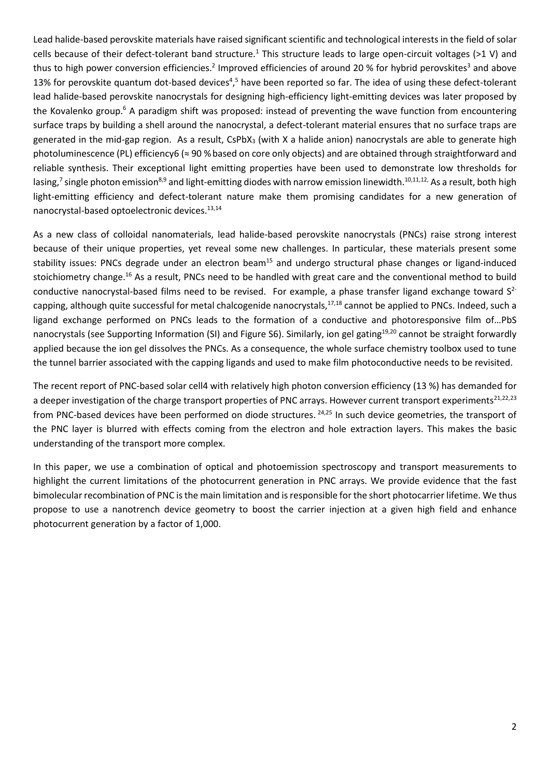<span id="page-2-1"></span><span id="page-2-0"></span>Lead halide-based perovskite materials have raised significant scientific and technological interests in the field of solar cells because of their defect-tolerant band structure.<sup>1</sup> This structure leads to large open-circuit voltages (>1 V) and thus to high power conversion efficiencies.<sup>2</sup> Improved efficiencies of around 20 % for hybrid perovskites<sup>3</sup> and above 13% for perovskite quantum dot-based devices<sup>4,5</sup> have been reported so far. The idea of using these defect-tolerant lead halide-based perovskite nanocrystals for designing high-efficiency light-emitting devices was later proposed by the Kovalenko group.<sup>6</sup> A paradigm shift was proposed: instead of preventing the wave function from encountering surface traps by building a shell around the nanocrystal, a defect-tolerant material ensures that no surface traps are generated in the mid-gap region. As a result, CsPbX<sub>3</sub> (with X a halide anion) nanocrystals are able to generate high photoluminescence (PL) efficienc[y6](#page-2-0) (≈ 90 % based on core only objects) and are obtained through straightforward and reliable synthesis. Their exceptional light emitting properties have been used to demonstrate low thresholds for lasing,<sup>7</sup> single photon emission<sup>8,9</sup> and light-emitting diodes with narrow emission linewidth.<sup>10,11,12,</sup> As a result, both high light-emitting efficiency and defect-tolerant nature make them promising candidates for a new generation of nanocrystal-based optoelectronic devices. 13,14

As a new class of colloidal nanomaterials, lead halide-based perovskite nanocrystals (PNCs) raise strong interest because of their unique properties, yet reveal some new challenges. In particular, these materials present some stability issues: PNCs degrade under an electron beam<sup>15</sup> and undergo structural phase changes or ligand-induced stoichiometry change.<sup>16</sup> As a result, PNCs need to be handled with great care and the conventional method to build conductive nanocrystal-based films need to be revised. For example, a phase transfer ligand exchange toward  $S<sup>2</sup>$ capping, although quite successful for metal chalcogenide nanocrystals,<sup>17,18</sup> cannot be applied to PNCs. Indeed, such a ligand exchange performed on PNCs leads to the formation of a conductive and photoresponsive film of…PbS nanocrystals (see Supporting Information (SI) and Figure S6). Similarly, ion gel gating<sup>19,20</sup> cannot be straight forwardly applied because the ion gel dissolves the PNCs. As a consequence, the whole surface chemistry toolbox used to tune the tunnel barrier associated with the capping ligands and used to make film photoconductive needs to be revisited.

The recent report of PNC-based solar ce[ll4](#page-2-1) with relatively high photon conversion efficiency (13 %) has demanded for a deeper investigation of the charge transport properties of PNC arrays. However current transport experiments<sup>21,22,23</sup> from PNC-based devices have been performed on diode structures. <sup>24,25</sup> In such device geometries, the transport of the PNC layer is blurred with effects coming from the electron and hole extraction layers. This makes the basic understanding of the transport more complex.

In this paper, we use a combination of optical and photoemission spectroscopy and transport measurements to highlight the current limitations of the photocurrent generation in PNC arrays. We provide evidence that the fast bimolecular recombination of PNC is the main limitation and is responsible for the short photocarrier lifetime. We thus propose to use a nanotrench device geometry to boost the carrier injection at a given high field and enhance photocurrent generation by a factor of 1,000.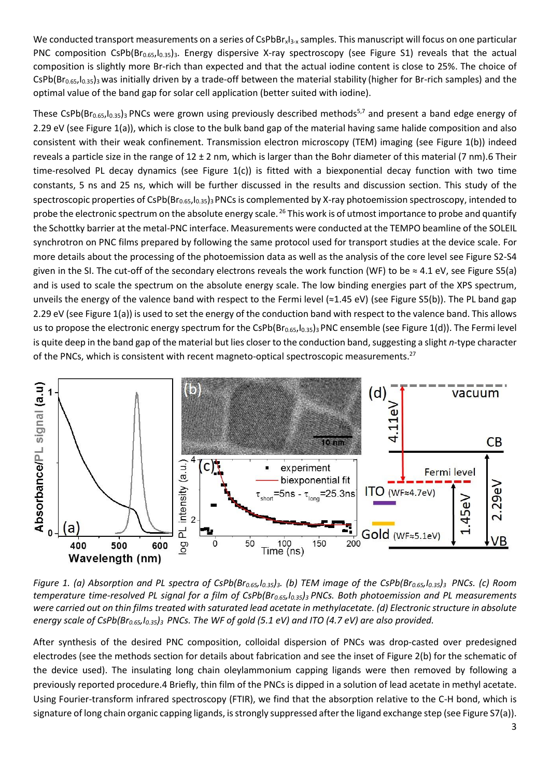We conducted transport measurements on a series of CsPbBr<sub>xl3-x</sub> samples. This manuscript will focus on one particular PNC composition CsPb(Br<sub>0.65</sub>,I<sub>0.35</sub>)<sub>3</sub>. Energy dispersive X-ray spectroscopy (see Figure S1) reveals that the actual composition is slightly more Br-rich than expected and that the actual iodine content is close to 25%. The choice of  $CsPb(Br_{0.65},I_{0.35})$  was initially driven by a trade-off between the material stability (higher for Br-rich samples) and the optimal value of the band gap for solar cell application (better suited with iodine).

These CsPb( $Br_{0.65}$ , $I_{0.35}$ )<sub>3</sub> PNCs were grown using previously described methods<sup>5,7</sup> and present a band edge energy of 2.29 eV (see [Figure 1\(](#page-3-0)a)), which is close to the bulk band gap of the material having same halide composition and also consistent with their weak confinement. Transmission electron microscopy (TEM) imaging (see [Figure 1\(](#page-3-0)b)) indeed reveals a particle size in the range of  $12 \pm 2$  nm, which is larger than the Bohr diameter of this material (7 nm)[.6](#page-2-0) Their time-resolved PL decay dynamics (see [Figure 1\(](#page-3-0)c)) is fitted with a biexponential decay function with two time constants, 5 ns and 25 ns, which will be further discussed in the results and discussion section. This study of the spectroscopic properties of  $CSPb(Br_{0.65},I_{0.35})$ <sub>3</sub> PNCs is complemented by X-ray photoemission spectroscopy, intended to probe the electronic spectrum on the absolute energy scale. <sup>26</sup> This work is of utmost importance to probe and quantify the Schottky barrier at the metal-PNC interface. Measurements were conducted at the TEMPO beamline of the SOLEIL synchrotron on PNC films prepared by following the same protocol used for transport studies at the device scale. For more details about the processing of the photoemission data as well as the analysis of the core level see Figure S2-S4 given in the SI. The cut-off of the secondary electrons reveals the work function (WF) to be  $\approx 4.1$  eV, see Figure S5(a) and is used to scale the spectrum on the absolute energy scale. The low binding energies part of the XPS spectrum, unveils the energy of the valence band with respect to the Fermi level (≈1.45 eV) (see Figure S5(b)). The PL band gap 2.29 eV (se[e Figure 1\(](#page-3-0)a)) is used to set the energy of the conduction band with respect to the valence band. This allows us to propose the electronic energy spectrum for the CsPb(Br<sub>0.65</sub>,I<sub>0.35</sub>)<sub>3</sub> PNC ensemble (see [Figure 1\(](#page-3-0)d)). The Fermi level is quite deep in the band gap of the material but lies closer to the conduction band, suggesting a slight *n*-type character of the PNCs, which is consistent with recent magneto-optical spectroscopic measurements.<sup>27</sup>



<span id="page-3-0"></span>Figure 1. (a) Absorption and PL spectra of CsPb(Br<sub>0.65</sub>, l<sub>0.35</sub>)<sub>3</sub>. (b) TEM image of the CsPb(Br<sub>0.65</sub>, l<sub>0.35</sub>)<sub>3</sub> PNCs. (c) Room *temperature time-resolved PL signal for a film of CsPb(Br0.65,I0.35)3 PNCs. Both photoemission and PL measurements were carried out on thin films treated with saturated lead acetate in methylacetate. (d) Electronic structure in absolute energy scale of CsPb(Br0.65,I0.35)<sup>3</sup> PNCs. The WF of gold (5.1 eV) and ITO (4.7 eV) are also provided.*

After synthesis of the desired PNC composition, colloidal dispersion of PNCs was drop-casted over predesigned electrodes (see the methods section for details about fabrication and see the inset o[f Figure 2\(](#page-4-0)b) for the schematic of the device used). The insulating long chain oleylammonium capping ligands were then removed by following a previously reported procedure[.4](#page-2-1) Briefly, thin film of the PNCs is dipped in a solution of lead acetate in methyl acetate. Using Fourier-transform infrared spectroscopy (FTIR), we find that the absorption relative to the C-H bond, which is signature of long chain organic capping ligands, is strongly suppressed after the ligand exchange step (see Figure S7(a)).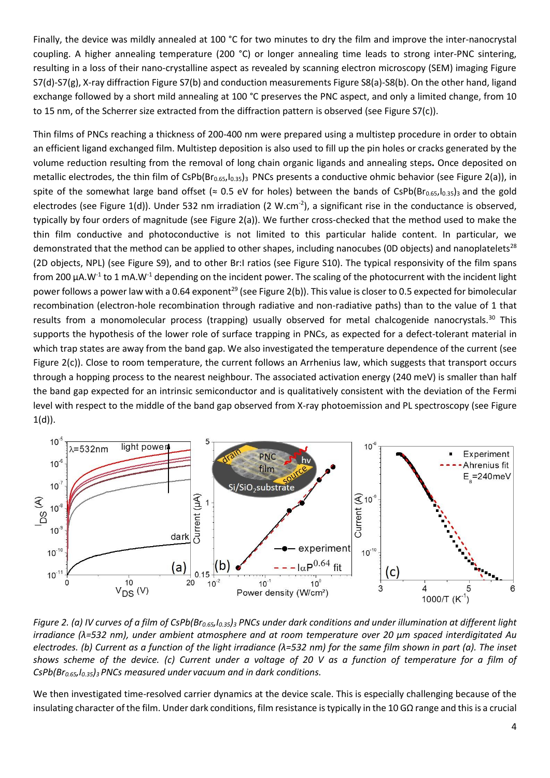Finally, the device was mildly annealed at 100 °C for two minutes to dry the film and improve the inter-nanocrystal coupling. A higher annealing temperature (200 °C) or longer annealing time leads to strong inter-PNC sintering, resulting in a loss of their nano-crystalline aspect as revealed by scanning electron microscopy (SEM) imaging Figure S7(d)-S7(g), X-ray diffraction Figure S7(b) and conduction measurements Figure S8(a)-S8(b). On the other hand, ligand exchange followed by a short mild annealing at 100 °C preserves the PNC aspect, and only a limited change, from 10 to 15 nm, of the Scherrer size extracted from the diffraction pattern is observed (see Figure S7(c)).

Thin films of PNCs reaching a thickness of 200-400 nm were prepared using a multistep procedure in order to obtain an efficient ligand exchanged film. Multistep deposition is also used to fill up the pin holes or cracks generated by the volume reduction resulting from the removal of long chain organic ligands and annealing steps**.** Once deposited on metallic electrodes, the thin film of CsPb(Br<sub>0.65</sub>, l<sub>0.35</sub>)<sub>3</sub> PNCs presents a conductive ohmic behavior (see [Figure 2\(](#page-4-0)a)), in spite of the somewhat large band offset ( $\approx 0.5$  eV for holes) between the bands of CsPb(Br<sub>0.65</sub>, l<sub>0.35</sub>)<sub>3</sub> and the gold electrodes (see Figure 1(d)). Under 532 nm irradiation (2 W.cm<sup>-2</sup>), a significant rise in the conductance is observed, typically by four orders of magnitude (see [Figure 2\(](#page-4-0)a)). We further cross-checked that the method used to make the thin film conductive and photoconductive is not limited to this particular halide content. In particular, we demonstrated that the method can be applied to other shapes, including nanocubes (0D objects) and nanoplatelets<sup>28</sup> (2D objects, NPL) (see Figure S9), and to other Br:I ratios (see Figure S10). The typical responsivity of the film spans from 200  $\mu$ A.W<sup>-1</sup> to 1 mA.W<sup>-1</sup> depending on the incident power. The scaling of the photocurrent with the incident light power follows a power law with a 0.64 exponent<sup>29</sup> (se[e Figure 2\(](#page-4-0)b)). This value is closer to 0.5 expected for bimolecular recombination (electron-hole recombination through radiative and non-radiative paths) than to the value of 1 that results from a monomolecular process (trapping) usually observed for metal chalcogenide nanocrystals.<sup>30</sup> This supports the hypothesis of the lower role of surface trapping in PNCs, as expected for a defect-tolerant material in which trap states are away from the band gap. We also investigated the temperature dependence of the current (see [Figure 2\(](#page-4-0)c)). Close to room temperature, the current follows an Arrhenius law, which suggests that transport occurs through a hopping process to the nearest neighbour. The associated activation energy (240 meV) is smaller than half the band gap expected for an intrinsic semiconductor and is qualitatively consistent with the deviation of the Fermi level with respect to the middle of the band gap observed from X-ray photoemission and PL spectroscopy (see [Figure](#page-3-0)   $1(d)$  $1(d)$ ).

<span id="page-4-1"></span>

<span id="page-4-0"></span>*Figure 2. (a) IV curves of a film of CsPb(Br0.65,I0.35)<sup>3</sup> PNCs under dark conditions and under illumination at different light irradiance (λ=532 nm), under ambient atmosphere and at room temperature over 20 µm spaced interdigitated Au electrodes. (b) Current as a function of the light irradiance (λ=532 nm) for the same film shown in part (a). The inset shows scheme of the device. (c) Current under a voltage of 20 V as a function of temperature for a film of CsPb(Br0.65,I0.35)<sup>3</sup> PNCs measured under vacuum and in dark conditions.*

We then investigated time-resolved carrier dynamics at the device scale. This is especially challenging because of the insulating character of the film. Under dark conditions, film resistance is typically in the 10 GQ range and this is a crucial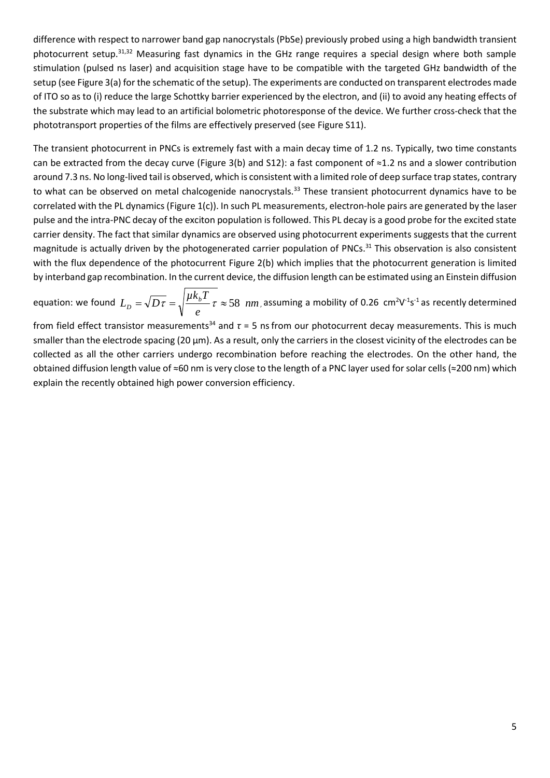<span id="page-5-0"></span>difference with respect to narrower band gap nanocrystals (PbSe) previously probed using a high bandwidth transient photocurrent setup.31,32 Measuring fast dynamics in the GHz range requires a special design where both sample stimulation (pulsed ns laser) and acquisition stage have to be compatible with the targeted GHz bandwidth of the setup (se[e Figure 3\(](#page-6-0)a) for the schematic of the setup). The experiments are conducted on transparent electrodes made of ITO so as to (i) reduce the large Schottky barrier experienced by the electron, and (ii) to avoid any heating effects of the substrate which may lead to an artificial bolometric photoresponse of the device. We further cross-check that the phototransport properties of the films are effectively preserved (see Figure S11).

The transient photocurrent in PNCs is extremely fast with a main decay time of 1.2 ns. Typically, two time constants can be extracted from the decay curve [\(Figure 3\(](#page-6-0)b) and S12): a fast component of ≈1.2 ns and a slower contribution around 7.3 ns. No long-lived tail is observed, which is consistent with a limited role of deep surface trap states, contrary to what can be observed on metal chalcogenide nanocrystals.<sup>33</sup> These transient photocurrent dynamics have to be correlated with the PL dynamics [\(Figure 1\(](#page-3-0)c)). In such PL measurements, electron-hole pairs are generated by the laser pulse and the intra-PNC decay of the exciton population is followed. This PL decay is a good probe for the excited state carrier density. The fact that similar dynamics are observed using photocurrent experiments suggests that the current magnitude is actually driven by the photogenerated carrier population of PNCs.<sup>[31](#page-5-0)</sup> This observation is also consistent with the flux dependence of the photocurrent [Figure 2\(](#page-4-0)b) which implies that the photocurrent generation is limited by interband gap recombination. In the current device, the diffusion length can be estimated using an Einstein diffusion

equation: we found  $L_p = \sqrt{D\tau} = \sqrt{\frac{\mu_0 \mu_0}{\tau}} \tau \approx 58$  nm *e*  $\mu k_{\scriptscriptstyle h} T$  $L_p = \sqrt{D}\tau = \sqrt{\frac{\mu k_b}{2}}$  $D_D = \sqrt{D\tau} = \sqrt{\frac{\mu m_b T}{\tau}}\tau \approx 58$  *nm*, assuming a mobility of 0.26 cm<sup>2</sup>V<sup>-1</sup>s<sup>-1</sup> as recently determined

from field effect transistor measurements<sup>34</sup> and *τ* = 5 nsfrom our photocurrent decay measurements. This is much smaller than the electrode spacing (20 µm). As a result, only the carriers in the closest vicinity of the electrodes can be collected as all the other carriers undergo recombination before reaching the electrodes. On the other hand, the obtained diffusion length value of ≈60 nm is very close to the length of a PNC layer used for solar cells (≈200 nm) which explain the recently obtained high power conversion efficiency.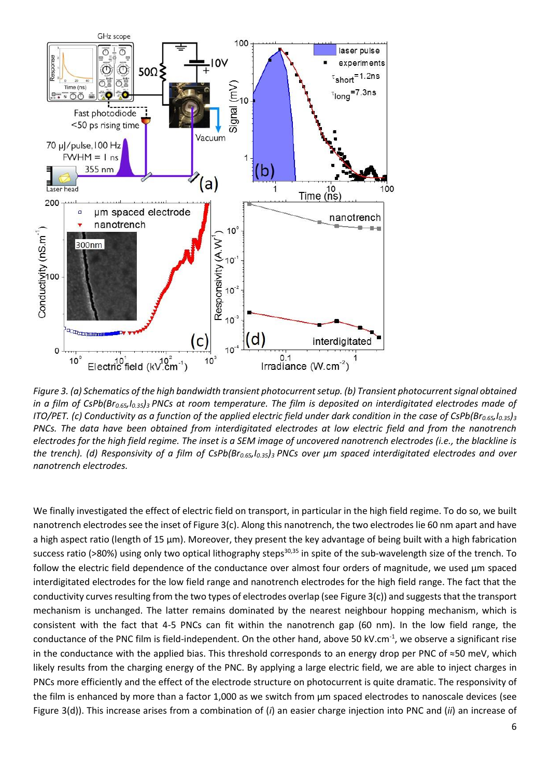

<span id="page-6-0"></span>*Figure 3. (a) Schematics of the high bandwidth transient photocurrent setup. (b) Transient photocurrent signal obtained in a film of CsPb(Br0.65,I0.35)<sup>3</sup> PNCs at room temperature. The film is deposited on interdigitated electrodes made of ITO/PET. (c) Conductivity as a function of the applied electric field under dark condition in the case of CsPb(Br0.65,I0.35)<sup>3</sup> PNCs. The data have been obtained from interdigitated electrodes at low electric field and from the nanotrench electrodes for the high field regime. The inset is a SEM image of uncovered nanotrench electrodes (i.e., the blackline is the trench). (d) Responsivity of a film of CsPb(Br0.65,I0.35)3 PNCs over µm spaced interdigitated electrodes and over nanotrench electrodes.*

We finally investigated the effect of electric field on transport, in particular in the high field regime. To do so, we built nanotrench electrodes see the inset of Figure 3(c). Along this nanotrench, the two electrodes lie 60 nm apart and have a high aspect ratio (length of 15 µm). Moreover, they present the key advantage of being built with a high fabrication success ratio (>80%) using only two optical lithography steps<sup>[30,3](#page-4-1)5</sup> in spite of the sub-wavelength size of the trench. To follow the electric field dependence of the conductance over almost four orders of magnitude, we used  $\mu$ m spaced interdigitated electrodes for the low field range and nanotrench electrodes for the high field range. The fact that the conductivity curves resulting from the two types of electrodes overlap (see Figure 3(c)) and suggests that the transport mechanism is unchanged. The latter remains dominated by the nearest neighbour hopping mechanism, which is consistent with the fact that 4-5 PNCs can fit within the nanotrench gap (60 nm). In the low field range, the conductance of the PNC film is field-independent. On the other hand, above 50 kV.cm $^{-1}$ , we observe a significant rise in the conductance with the applied bias. This threshold corresponds to an energy drop per PNC of ≈50 meV, which likely results from the charging energy of the PNC. By applying a large electric field, we are able to inject charges in PNCs more efficiently and the effect of the electrode structure on photocurrent is quite dramatic. The responsivity of the film is enhanced by more than a factor 1,000 as we switch from µm spaced electrodes to nanoscale devices (see Figure 3(d)). This increase arises from a combination of (*i*) an easier charge injection into PNC and (*ii*) an increase of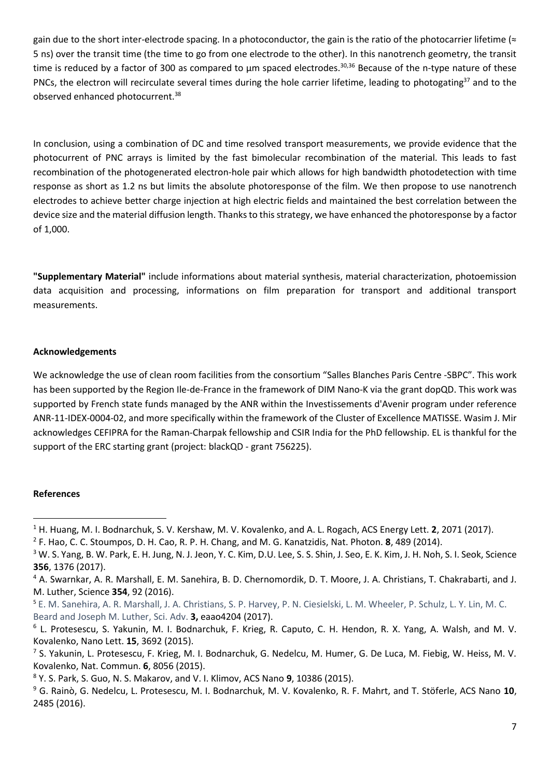gain due to the short inter-electrode spacing. In a photoconductor, the gain is the ratio of the photocarrier lifetime ( $\approx$ 5 ns) over the transit time (the time to go from one electrode to the other). In this nanotrench geometry, the transit time is reduced by a factor of 300 as compared to  $\mu$ m spaced electrodes.<sup>[30,3](#page-4-1)6</sup> Because of the n-type nature of these PNCs, the electron will recirculate several times during the hole carrier lifetime, leading to photogating<sup>37</sup> and to the observed enhanced photocurrent.<sup>38</sup>

In conclusion, using a combination of DC and time resolved transport measurements, we provide evidence that the photocurrent of PNC arrays is limited by the fast bimolecular recombination of the material. This leads to fast recombination of the photogenerated electron-hole pair which allows for high bandwidth photodetection with time response as short as 1.2 ns but limits the absolute photoresponse of the film. We then propose to use nanotrench electrodes to achieve better charge injection at high electric fields and maintained the best correlation between the device size and the material diffusion length. Thanks to this strategy, we have enhanced the photoresponse by a factor of 1,000.

**"Supplementary Material"** include informations about material synthesis, material characterization, photoemission data acquisition and processing, informations on film preparation for transport and additional transport measurements.

#### **Acknowledgements**

We acknowledge the use of clean room facilities from the consortium "Salles Blanches Paris Centre -SBPC". This work has been supported by the Region Ile-de-France in the framework of DIM Nano-K via the grant dopQD. This work was supported by French state funds managed by the ANR within the Investissements d'Avenir program under reference ANR-11-IDEX-0004-02, and more specifically within the framework of the Cluster of Excellence MATISSE. Wasim J. Mir acknowledges CEFIPRA for the Raman-Charpak fellowship and CSIR India for the PhD fellowship. EL is thankful for the support of the ERC starting grant (project: blackQD - grant 756225).

#### **References**

1

<sup>5</sup> E. M. Sanehira, A. R. Marshall, J. A. Christians, S. P. Harvey, P. N. Ciesielski, L. M. Wheeler, P. Schulz, L. Y. Lin, M. C. Beard and Joseph M. Luther, Sci. Adv. **3,** eaao4204 (2017).

<sup>1</sup> H. Huang, M. I. Bodnarchuk, S. V. Kershaw, M. V. Kovalenko, and A. L. Rogach, ACS Energy Lett. **2**, 2071 (2017).

<sup>2</sup> F. Hao, C. C. Stoumpos, D. H. Cao, R. P. H. Chang, and M. G. Kanatzidis, Nat. Photon. **8**, 489 (2014).

<sup>3</sup> W. S. Yang, B. W. Park, E. H. Jung, N. J. Jeon, Y. C. Kim, D.U. Lee, S. S. Shin, J. Seo, E. K. Kim, J. H. Noh, S. I. Seok, Science **356**, 1376 (2017).

<sup>4</sup> A. Swarnkar, A. R. Marshall, E. M. Sanehira, B. D. Chernomordik, D. T. Moore, J. A. Christians, T. Chakrabarti, and J. M. Luther, Science **354**, 92 (2016).

<sup>6</sup> L. Protesescu, S. Yakunin, M. I. Bodnarchuk, F. Krieg, R. Caputo, C. H. Hendon, R. X. Yang, A. Walsh, and M. V. Kovalenko, Nano Lett. **15**, 3692 (2015).

<sup>&</sup>lt;sup>7</sup> S. Yakunin, L. Protesescu, F. Krieg, M. I. Bodnarchuk, G. Nedelcu, M. Humer, G. De Luca, M. Fiebig, W. Heiss, M. V. Kovalenko, Nat. Commun. **6**, 8056 (2015).

<sup>8</sup> Y. S. Park, S. Guo, N. S. Makarov, and V. I. Klimov, ACS Nano **9**, 10386 (2015).

<sup>9</sup> G. Rainò, G. Nedelcu, L. Protesescu, M. I. Bodnarchuk, M. V. Kovalenko, R. F. Mahrt, and T. Stöferle, ACS Nano **10**, 2485 (2016).